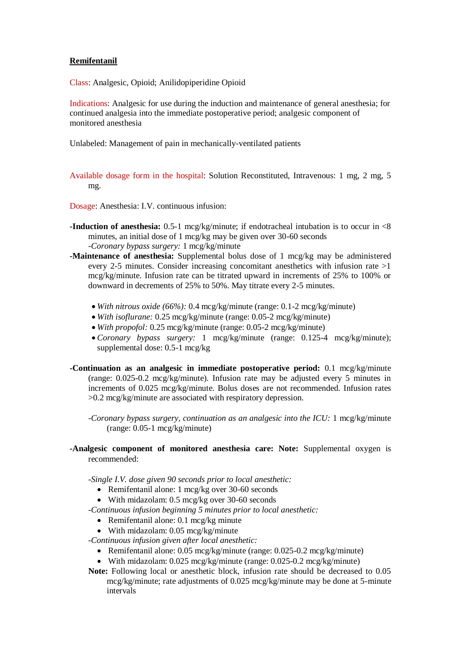## **Remifentanil**

Class: Analgesic, Opioid; Anilidopiperidine Opioid

Indications: Analgesic for use during the induction and maintenance of general anesthesia; for continued analgesia into the immediate postoperative period; analgesic component of monitored anesthesia

Unlabeled: Management of pain in mechanically-ventilated patients

Available dosage form in the hospital: Solution Reconstituted, Intravenous: 1 mg, 2 mg, 5 mg.

Dosage: Anesthesia: I.V. continuous infusion:

- **-Induction of anesthesia:** 0.5-1 mcg/kg/minute; if endotracheal intubation is to occur in  $\lt 8$ minutes, an initial dose of 1 mcg/kg may be given over 30-60 seconds *-Coronary bypass surgery:* 1 mcg/kg/minute
- **-Maintenance of anesthesia:** Supplemental bolus dose of 1 mcg/kg may be administered every 2-5 minutes. Consider increasing concomitant anesthetics with infusion rate >1 mcg/kg/minute. Infusion rate can be titrated upward in increments of 25% to 100% or downward in decrements of 25% to 50%. May titrate every 2-5 minutes.
	- *With nitrous oxide (66%):* 0.4 mcg/kg/minute (range: 0.1-2 mcg/kg/minute)
	- *With isoflurane:* 0.25 mcg/kg/minute (range: 0.05-2 mcg/kg/minute)
	- *With propofol:* 0.25 mcg/kg/minute (range: 0.05-2 mcg/kg/minute)
	- *Coronary bypass surgery:* 1 mcg/kg/minute (range: 0.125-4 mcg/kg/minute); supplemental dose: 0.5-1 mcg/kg
- **-Continuation as an analgesic in immediate postoperative period:** 0.1 mcg/kg/minute (range: 0.025-0.2 mcg/kg/minute). Infusion rate may be adjusted every 5 minutes in increments of 0.025 mcg/kg/minute. Bolus doses are not recommended. Infusion rates >0.2 mcg/kg/minute are associated with respiratory depression.
	- *-Coronary bypass surgery, continuation as an analgesic into the ICU:* 1 mcg/kg/minute (range: 0.05-1 mcg/kg/minute)
- **-Analgesic component of monitored anesthesia care: Note:** Supplemental oxygen is recommended:

*-Single I.V. dose given 90 seconds prior to local anesthetic:*

- Remifentanil alone: 1 mcg/kg over 30-60 seconds
- With midazolam: 0.5 mcg/kg over 30-60 seconds
- *-Continuous infusion beginning 5 minutes prior to local anesthetic:*
	- Remifentanil alone: 0.1 mcg/kg minute
	- With midazolam: 0.05 mcg/kg/minute
- *-Continuous infusion given after local anesthetic:*
	- Remifentanil alone: 0.05 mcg/kg/minute (range: 0.025-0.2 mcg/kg/minute)
	- With midazolam: 0.025 mcg/kg/minute (range: 0.025-0.2 mcg/kg/minute)
- **Note:** Following local or anesthetic block, infusion rate should be decreased to 0.05 mcg/kg/minute; rate adjustments of 0.025 mcg/kg/minute may be done at 5-minute intervals